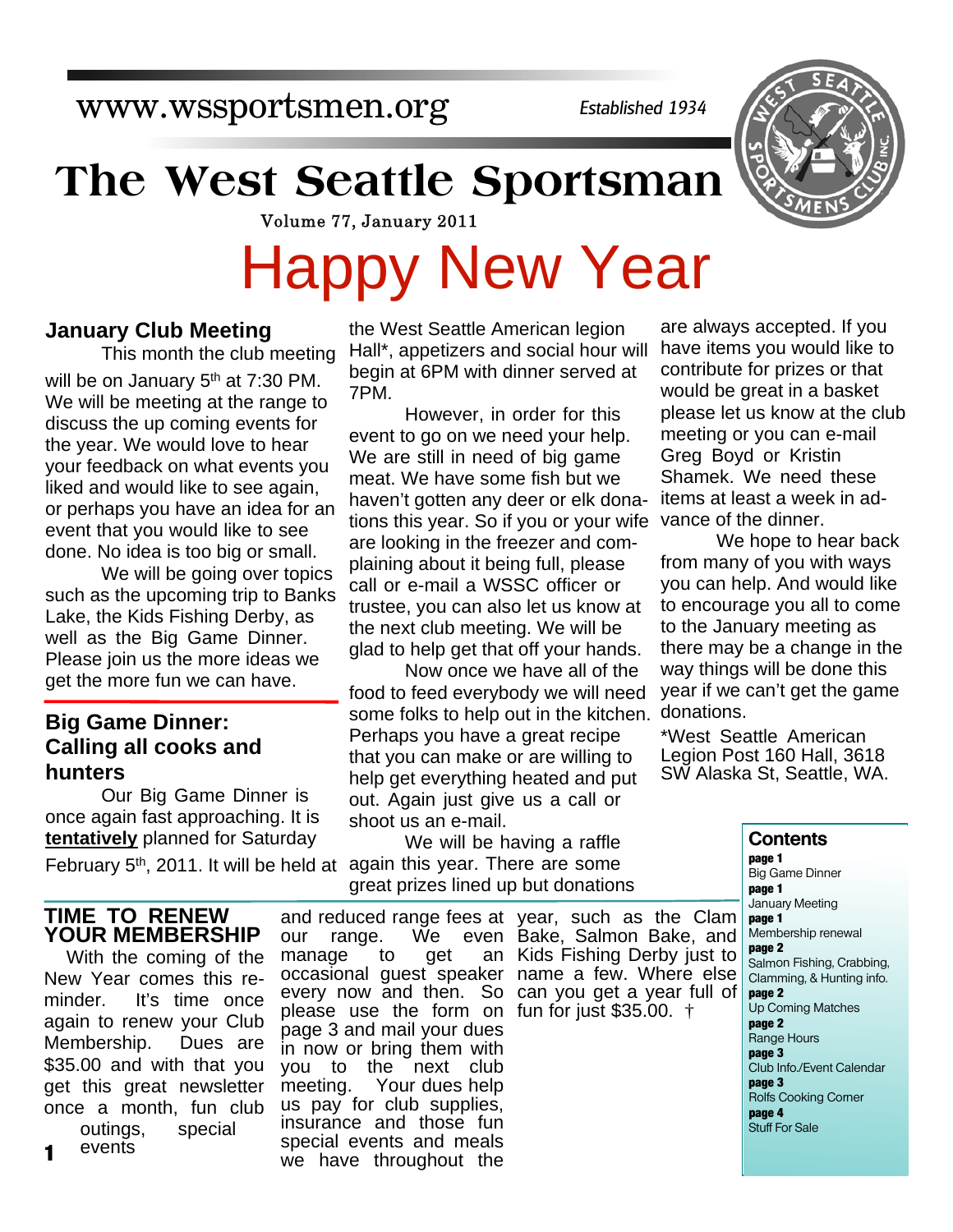www.wssportsmen.org

*Established 1934*

## **The West Seattle Sportsman**

Volume 77, January 2011

7PM.

# Happy New Year

the West Seattle American legion Hall\*, appetizers and social hour will begin at 6PM with dinner served at

event to go on we need your help. We are still in need of big game meat. We have some fish but we haven't gotten any deer or elk donations this year. So if you or your wife are looking in the freezer and complaining about it being full, please call or e-mail a WSSC officer or trustee, you can also let us know at the next club meeting. We will be glad to help get that off your hands.

However, in order for this

Now once we have all of the

food to feed everybody we will need

We will be having a raffle

great prizes lined up but donations

Perhaps you have a great recipe that you can make or are willing to help get everything heated and put out. Again just give us a call or

#### **January Club Meeting**

 This month the club meeting will be on January 5<sup>th</sup> at 7:30 PM. We will be meeting at the range to discuss the up coming events for the year. We would love to hear your feedback on what events you liked and would like to see again, or perhaps you have an idea for an event that you would like to see done. No idea is too big or small.

We will be going over topics such as the upcoming trip to Banks Lake, the Kids Fishing Derby, as well as the Big Game Dinner. Please join us the more ideas we get the more fun we can have.

#### **Big Game Dinner: Calling all cooks and hunters**

 Our Big Game Dinner is once again fast approaching. It is **tentatively** planned for Saturday

February 5<sup>th</sup>, 2011. It will be held at again this year. There are some

#### **TIME TO RENEW YOUR MEMBERSHIP**

With the coming of the New Year comes this reminder. It's time once again to renew your Club Membership. Dues are \$35.00 and with that you get this great newsletter once a month, fun club outings, special events **1**

our range. We even Bake, Salmon Bake, and manage to get occasional guest speaker name a few. Where else every now and then. So can you get a year full of please use the form on fun for just \$35.00. † page 3 and mail your dues in now or bring them with you to the next club meeting. Your dues help us pay for club supplies, insurance and those fun special events and meals we have throughout the

shoot us an e-mail.

and reduced range fees at year, such as the Clam an Kids Fishing Derby just to

are always accepted. If you have items you would like to contribute for prizes or that would be great in a basket please let us know at the club meeting or you can e-mail Greg Boyd or Kristin Shamek. We need these items at least a week in advance of the dinner.

some folks to help out in the kitchen. donations. We hope to hear back from many of you with ways you can help. And would like to encourage you all to come to the January meeting as there may be a change in the way things will be done this year if we can't get the game

> \*West Seattle American Legion Post 160 Hall, 3618 SW Alaska St, Seattle, WA.

#### **Contents**

**page 1** Big Game Dinner **page 1** January Meeting **page 1** Membership renewal **page 2** Salmon Fishing, Crabbing, Clamming, & Hunting info. **page 2** Up Coming Matches **page 2** Range Hours **page 3** Club Info./Event Calendar **page 3** Rolfs Cooking Corner **page 4** Stuff For Sale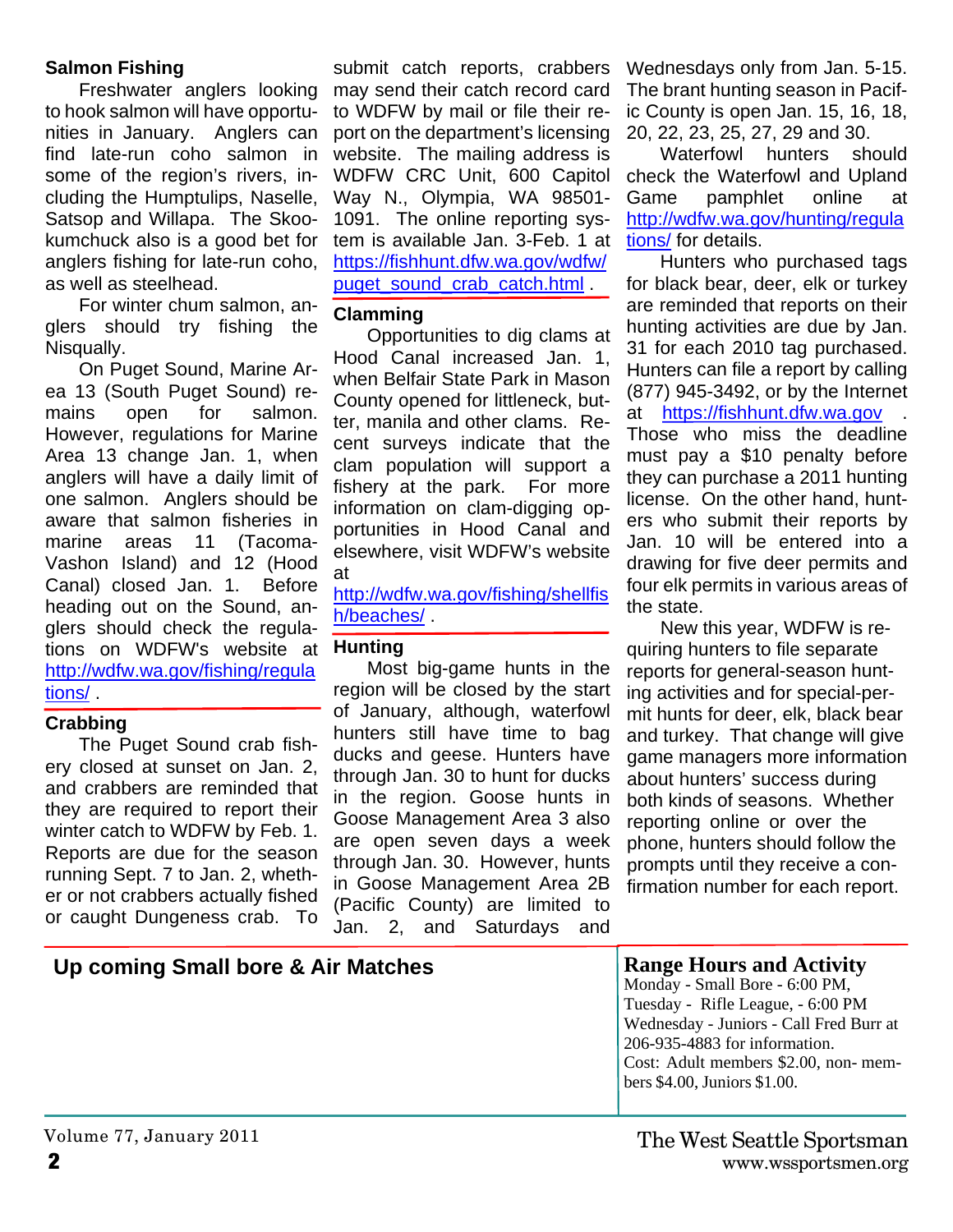#### **Salmon Fishing**

Freshwater anglers looking to hook salmon will have opportunities in January. Anglers can find late-run coho salmon in some of the region's rivers, including the Humptulips, Naselle, Satsop and Willapa. The Skookumchuck also is a good bet for anglers fishing for late-run coho, as well as steelhead.

For winter chum salmon, anglers should try fishing the Nisqually.

On Puget Sound, Marine Area 13 (South Puget Sound) remains open for salmon. However, regulations for Marine Area 13 change Jan. 1, when anglers will have a daily limit of one salmon. Anglers should be aware that salmon fisheries in marine areas 11 (Tacoma-Vashon Island) and 12 (Hood Canal) closed Jan. 1. Before heading out on the Sound, anglers should check the regulations on WDFW's website at http://wdfw.wa.gov/fishing/regula tions/ .

#### **Crabbing**

The Puget Sound crab fishery closed at sunset on Jan. 2, and crabbers are reminded that they are required to report their winter catch to WDFW by Feb. 1. Reports are due for the season running Sept. 7 to Jan. 2, whether or not crabbers actually fished or caught Dungeness crab. To

#### submit catch reports, crabbers may send their catch record card to WDFW by mail or file their report on the department's licensing website. The mailing address is WDFW CRC Unit, 600 Capitol Way N., Olympia, WA 98501- 1091. The online reporting system is available Jan. 3-Feb. 1 at https://fishhunt.dfw.wa.gov/wdfw/ puget\_sound\_crab\_catch.html .

#### **Clamming**

Opportunities to dig clams at Hood Canal increased Jan. 1, when Belfair State Park in Mason County opened for littleneck, butter, manila and other clams. Recent surveys indicate that the clam population will support a fishery at the park. For more information on clam-digging opportunities in Hood Canal and elsewhere, visit WDFW's website at

http://wdfw.wa.gov/fishing/shellfis h/beaches/ .

#### **Hunting**

Most big-game hunts in the region will be closed by the start of January, although, waterfowl hunters still have time to bag ducks and geese. Hunters have through Jan. 30 to hunt for ducks in the region. Goose hunts in Goose Management Area 3 also are open seven days a week through Jan. 30. However, hunts in Goose Management Area 2B (Pacific County) are limited to Jan. 2, and Saturdays and

Wednesdays only from Jan. 5-15. The brant hunting season in Pacific County is open Jan. 15, 16, 18, 20, 22, 23, 25, 27, 29 and 30.

Waterfowl hunters should check the Waterfowl and Upland Game pamphlet online at http://wdfw.wa.gov/hunting/regula tions/ for details.

Hunters who purchased tags for black bear, deer, elk or turkey are reminded that reports on their hunting activities are due by Jan. 31 for each 2010 tag purchased. Hunters can file a report by calling (877) 945-3492, or by the Internet at https://fishhunt.dfw.wa.gov . Those who miss the deadline must pay a \$10 penalty before they can purchase a 2011 hunting license. On the other hand, hunters who submit their reports by Jan. 10 will be entered into a drawing for five deer permits and four elk permits in various areas of the state.

New this year, WDFW is requiring hunters to file separate reports for general-season hunting activities and for special-permit hunts for deer, elk, black bear and turkey. That change will give game managers more information about hunters' success during both kinds of seasons. Whether reporting online or over the phone, hunters should follow the prompts until they receive a confirmation number for each report.

#### Up coming Small bore & Air Matches **Range Hours and Activity**

Monday - Small Bore - 6:00 PM,

Tuesday - Rifle League, - 6:00 PM Wednesday - Juniors - Call Fred Burr at 206-935-4883 for information. Cost: Adult members \$2.00, non- members \$4.00, Juniors \$1.00.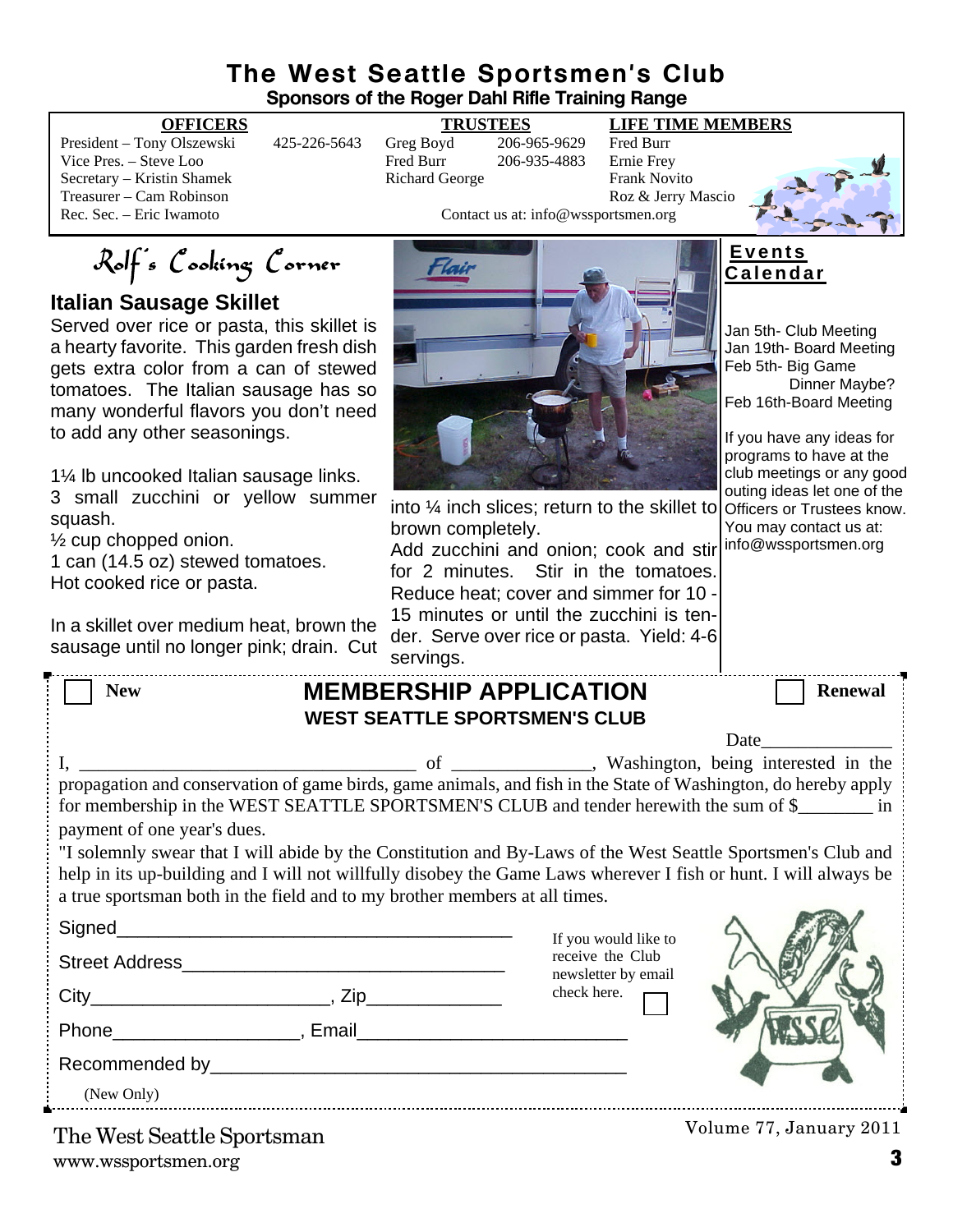#### **The West Seattle Sportsmen's Club Sponsors of the Roger Dahl Rifle Training Range**

President – Tony Olszewski 425-226-5643 Greg Boyd 206-965-9629 Fred Burr Vice Pres. – Steve Loo Fred Burr 206-935-4883 Ernie Frey Secretary – Kristin Shamek Richard George Frank Novito Treasurer – Cam Robinson<br>
Roz & Jerry Mascio<br>
Rec. Sec. – Eric Iwamoto<br>
Roz & Jerry Mascio<br>
Contact us at: info@wssportsmen.org

#### **OFFICERS TRUSTEES LIFE TIME MEMBERS**

Contact us at: info@wssportsmen.org



Rolf's Cooking Corner

**Italian Sausage Skillet**

Served over rice or pasta, this skillet is a hearty favorite. This garden fresh dish gets extra color from a can of stewed tomatoes. The Italian sausage has so many wonderful flavors you don't need to add any other seasonings.

1¼ lb uncooked Italian sausage links.

3 small zucchini or yellow summer squash.

½ cup chopped onion.

1 can (14.5 oz) stewed tomatoes. Hot cooked rice or pasta.

In a skillet over medium heat, brown the sausage until no longer pink; drain. Cut



into ¼ inch slices; return to the skillet to

Add zucchini and onion; cook and stir for 2 minutes. Stir in the tomatoes. Reduce heat; cover and simmer for 10 - 15 minutes or until the zucchini is tender. Serve over rice or pasta. Yield: 4-6

**E v e n t s C a l e n d a r**

Jan 5th- Club Meeting Jan 19th- Board Meeting Feb 5th- Big Game Dinner Maybe? Feb 16th-Board Meeting

If you have any ideas for programs to have at the club meetings or any good outing ideas let one of the Officers or Trustees know. You may contact us at: info@wssportsmen.org

|                                                                                                                                                                                                                                                                                                                                                                                                                                        | sausaye unun no ionger pink, urain.  Cut | servings.                     |                                         |                |
|----------------------------------------------------------------------------------------------------------------------------------------------------------------------------------------------------------------------------------------------------------------------------------------------------------------------------------------------------------------------------------------------------------------------------------------|------------------------------------------|-------------------------------|-----------------------------------------|----------------|
| <b>New</b>                                                                                                                                                                                                                                                                                                                                                                                                                             |                                          | <b>MEMBERSHIP APPLICATION</b> |                                         | <b>Renewal</b> |
| <b>WEST SEATTLE SPORTSMEN'S CLUB</b>                                                                                                                                                                                                                                                                                                                                                                                                   |                                          |                               |                                         |                |
|                                                                                                                                                                                                                                                                                                                                                                                                                                        |                                          |                               |                                         | Date           |
| for membership in the WEST SEATTLE SPORTSMEN'S CLUB and tender herewith the sum of \$<br>payment of one year's dues.<br>"I solemnly swear that I will abide by the Constitution and By-Laws of the West Seattle Sportsmen's Club and<br>help in its up-building and I will not willfully disobey the Game Laws wherever I fish or hunt. I will always be<br>a true sportsman both in the field and to my brother members at all times. |                                          |                               |                                         |                |
|                                                                                                                                                                                                                                                                                                                                                                                                                                        |                                          |                               | If you would like to                    |                |
|                                                                                                                                                                                                                                                                                                                                                                                                                                        |                                          |                               | receive the Club<br>newsletter by email |                |
|                                                                                                                                                                                                                                                                                                                                                                                                                                        |                                          |                               | check here.                             |                |
|                                                                                                                                                                                                                                                                                                                                                                                                                                        |                                          |                               |                                         |                |
|                                                                                                                                                                                                                                                                                                                                                                                                                                        |                                          |                               |                                         |                |
| (New Only)                                                                                                                                                                                                                                                                                                                                                                                                                             |                                          |                               |                                         |                |
|                                                                                                                                                                                                                                                                                                                                                                                                                                        |                                          |                               |                                         |                |

brown completely.

www.wssportsmen.org **3** The West Seattle Sportsman